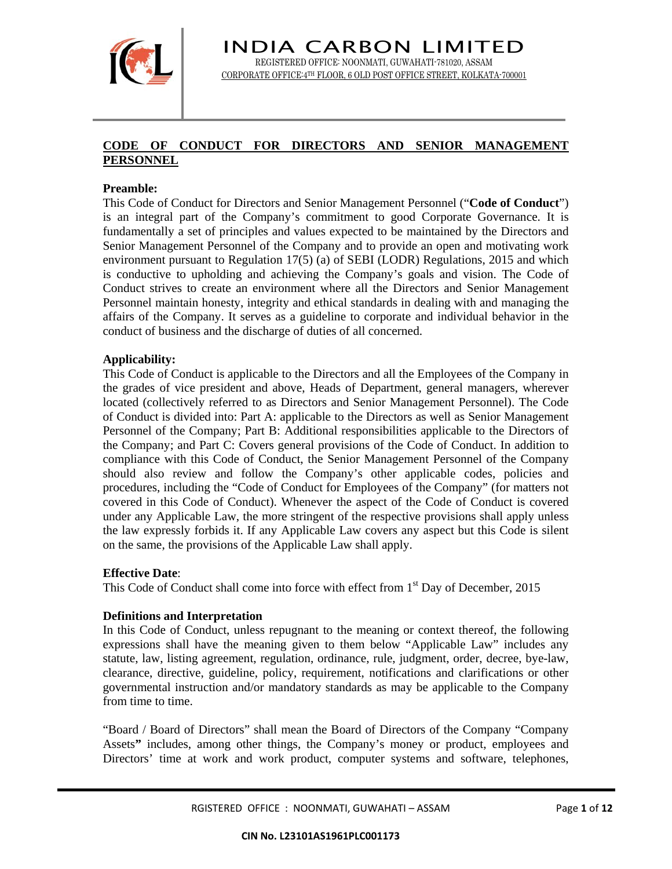

# **CODE OF CONDUCT FOR DIRECTORS AND SENIOR MANAGEMENT PERSONNEL**

### **Preamble:**

This Code of Conduct for Directors and Senior Management Personnel ("**Code of Conduct**") is an integral part of the Company's commitment to good Corporate Governance. It is fundamentally a set of principles and values expected to be maintained by the Directors and Senior Management Personnel of the Company and to provide an open and motivating work environment pursuant to Regulation 17(5) (a) of SEBI (LODR) Regulations, 2015 and which is conductive to upholding and achieving the Company's goals and vision. The Code of Conduct strives to create an environment where all the Directors and Senior Management Personnel maintain honesty, integrity and ethical standards in dealing with and managing the affairs of the Company. It serves as a guideline to corporate and individual behavior in the conduct of business and the discharge of duties of all concerned.

#### **Applicability:**

This Code of Conduct is applicable to the Directors and all the Employees of the Company in the grades of vice president and above, Heads of Department, general managers, wherever located (collectively referred to as Directors and Senior Management Personnel). The Code of Conduct is divided into: Part A: applicable to the Directors as well as Senior Management Personnel of the Company; Part B: Additional responsibilities applicable to the Directors of the Company; and Part C: Covers general provisions of the Code of Conduct. In addition to compliance with this Code of Conduct, the Senior Management Personnel of the Company should also review and follow the Company's other applicable codes, policies and procedures, including the "Code of Conduct for Employees of the Company" (for matters not covered in this Code of Conduct). Whenever the aspect of the Code of Conduct is covered under any Applicable Law, the more stringent of the respective provisions shall apply unless the law expressly forbids it. If any Applicable Law covers any aspect but this Code is silent on the same, the provisions of the Applicable Law shall apply.

#### **Effective Date**:

This Code of Conduct shall come into force with effect from  $1<sup>st</sup>$  Day of December, 2015

#### **Definitions and Interpretation**

In this Code of Conduct, unless repugnant to the meaning or context thereof, the following expressions shall have the meaning given to them below "Applicable Law" includes any statute, law, listing agreement, regulation, ordinance, rule, judgment, order, decree, bye-law, clearance, directive, guideline, policy, requirement, notifications and clarifications or other governmental instruction and/or mandatory standards as may be applicable to the Company from time to time.

"Board / Board of Directors" shall mean the Board of Directors of the Company "Company Assets**"** includes, among other things, the Company's money or product, employees and Directors' time at work and work product, computer systems and software, telephones,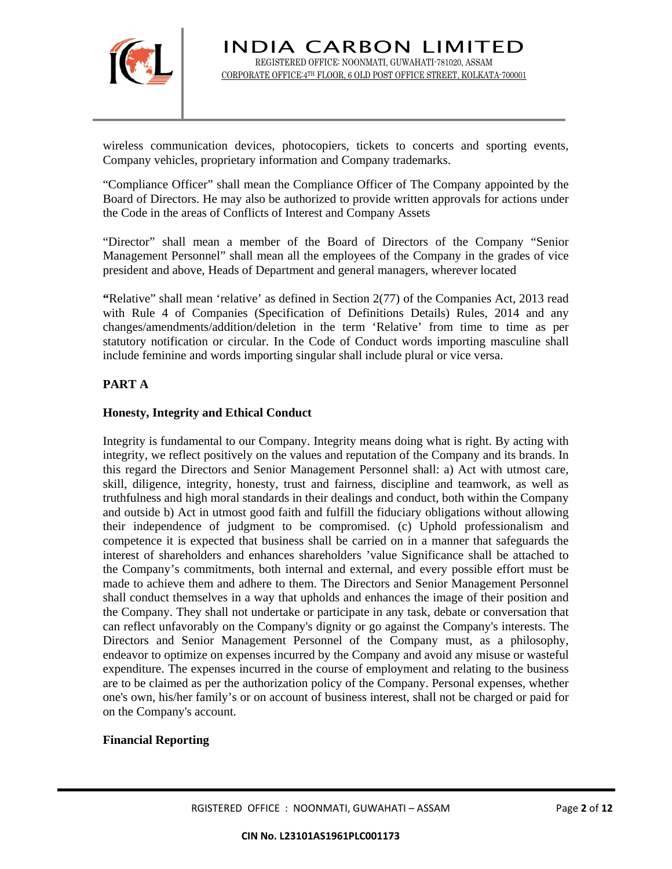

wireless communication devices, photocopiers, tickets to concerts and sporting events, Company vehicles, proprietary information and Company trademarks.

"Compliance Officer" shall mean the Compliance Officer of The Company appointed by the Board of Directors. He may also be authorized to provide written approvals for actions under the Code in the areas of Conflicts of Interest and Company Assets

"Director" shall mean a member of the Board of Directors of the Company "Senior Management Personnel" shall mean all the employees of the Company in the grades of vice president and above, Heads of Department and general managers, wherever located

**"**Relative" shall mean 'relative' as defined in Section 2(77) of the Companies Act, 2013 read with Rule 4 of Companies (Specification of Definitions Details) Rules, 2014 and any changes/amendments/addition/deletion in the term 'Relative' from time to time as per statutory notification or circular. In the Code of Conduct words importing masculine shall include feminine and words importing singular shall include plural or vice versa.

# **PART A**

### **Honesty, Integrity and Ethical Conduct**

Integrity is fundamental to our Company. Integrity means doing what is right. By acting with integrity, we reflect positively on the values and reputation of the Company and its brands. In this regard the Directors and Senior Management Personnel shall: a) Act with utmost care, skill, diligence, integrity, honesty, trust and fairness, discipline and teamwork, as well as truthfulness and high moral standards in their dealings and conduct, both within the Company and outside b) Act in utmost good faith and fulfill the fiduciary obligations without allowing their independence of judgment to be compromised. (c) Uphold professionalism and competence it is expected that business shall be carried on in a manner that safeguards the interest of shareholders and enhances shareholders 'value Significance shall be attached to the Company's commitments, both internal and external, and every possible effort must be made to achieve them and adhere to them. The Directors and Senior Management Personnel shall conduct themselves in a way that upholds and enhances the image of their position and the Company. They shall not undertake or participate in any task, debate or conversation that can reflect unfavorably on the Company's dignity or go against the Company's interests. The Directors and Senior Management Personnel of the Company must, as a philosophy, endeavor to optimize on expenses incurred by the Company and avoid any misuse or wasteful expenditure. The expenses incurred in the course of employment and relating to the business are to be claimed as per the authorization policy of the Company. Personal expenses, whether one's own, his/her family's or on account of business interest, shall not be charged or paid for on the Company's account.

### **Financial Reporting**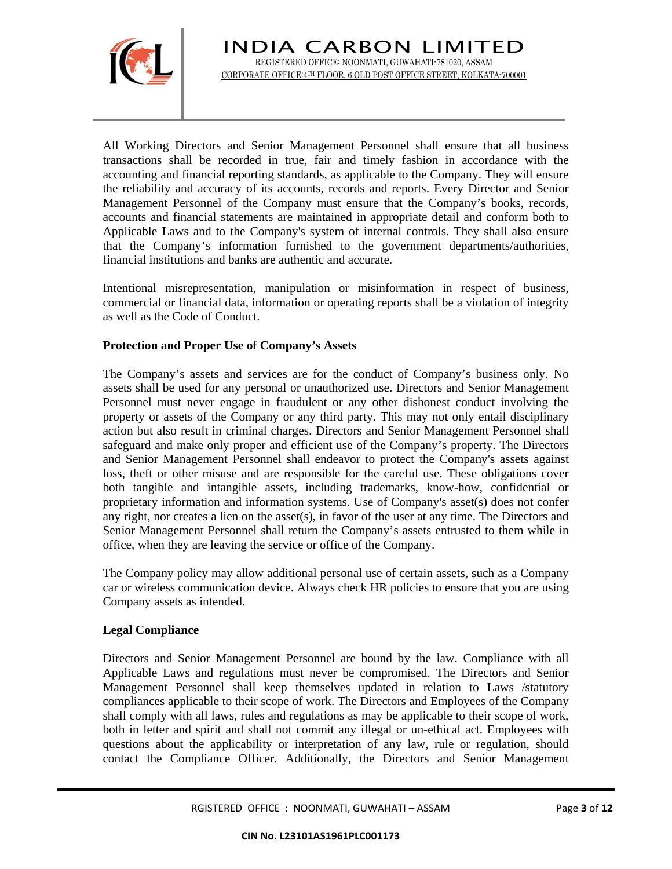

All Working Directors and Senior Management Personnel shall ensure that all business transactions shall be recorded in true, fair and timely fashion in accordance with the accounting and financial reporting standards, as applicable to the Company. They will ensure the reliability and accuracy of its accounts, records and reports. Every Director and Senior Management Personnel of the Company must ensure that the Company's books, records, accounts and financial statements are maintained in appropriate detail and conform both to Applicable Laws and to the Company's system of internal controls. They shall also ensure that the Company's information furnished to the government departments/authorities, financial institutions and banks are authentic and accurate.

Intentional misrepresentation, manipulation or misinformation in respect of business, commercial or financial data, information or operating reports shall be a violation of integrity as well as the Code of Conduct.

## **Protection and Proper Use of Company's Assets**

The Company's assets and services are for the conduct of Company's business only. No assets shall be used for any personal or unauthorized use. Directors and Senior Management Personnel must never engage in fraudulent or any other dishonest conduct involving the property or assets of the Company or any third party. This may not only entail disciplinary action but also result in criminal charges. Directors and Senior Management Personnel shall safeguard and make only proper and efficient use of the Company's property. The Directors and Senior Management Personnel shall endeavor to protect the Company's assets against loss, theft or other misuse and are responsible for the careful use. These obligations cover both tangible and intangible assets, including trademarks, know-how, confidential or proprietary information and information systems. Use of Company's asset(s) does not confer any right, nor creates a lien on the asset(s), in favor of the user at any time. The Directors and Senior Management Personnel shall return the Company's assets entrusted to them while in office, when they are leaving the service or office of the Company.

The Company policy may allow additional personal use of certain assets, such as a Company car or wireless communication device. Always check HR policies to ensure that you are using Company assets as intended.

# **Legal Compliance**

Directors and Senior Management Personnel are bound by the law. Compliance with all Applicable Laws and regulations must never be compromised. The Directors and Senior Management Personnel shall keep themselves updated in relation to Laws /statutory compliances applicable to their scope of work. The Directors and Employees of the Company shall comply with all laws, rules and regulations as may be applicable to their scope of work, both in letter and spirit and shall not commit any illegal or un-ethical act. Employees with questions about the applicability or interpretation of any law, rule or regulation, should contact the Compliance Officer. Additionally, the Directors and Senior Management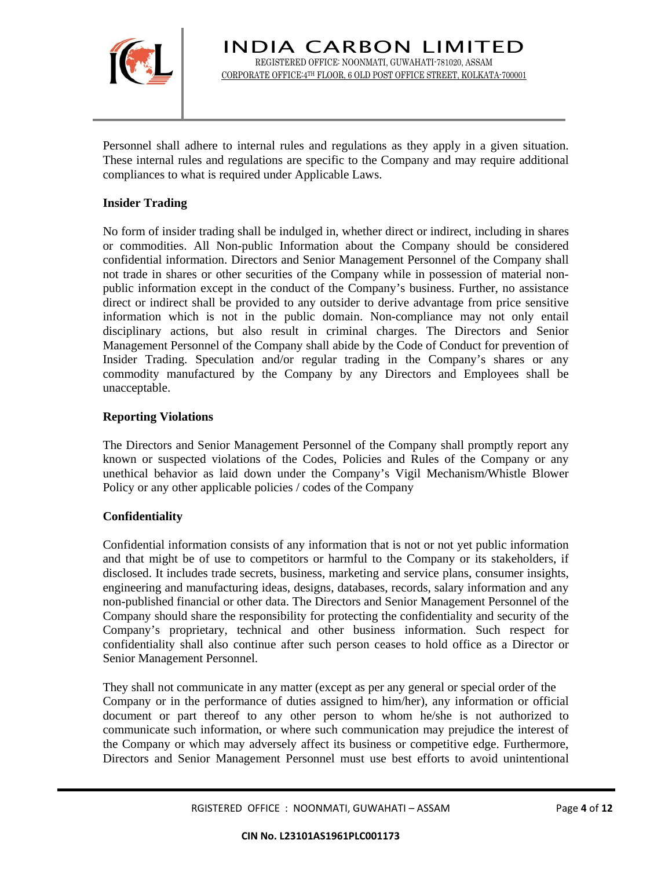

Personnel shall adhere to internal rules and regulations as they apply in a given situation. These internal rules and regulations are specific to the Company and may require additional compliances to what is required under Applicable Laws.

## **Insider Trading**

No form of insider trading shall be indulged in, whether direct or indirect, including in shares or commodities. All Non-public Information about the Company should be considered confidential information. Directors and Senior Management Personnel of the Company shall not trade in shares or other securities of the Company while in possession of material nonpublic information except in the conduct of the Company's business. Further, no assistance direct or indirect shall be provided to any outsider to derive advantage from price sensitive information which is not in the public domain. Non-compliance may not only entail disciplinary actions, but also result in criminal charges. The Directors and Senior Management Personnel of the Company shall abide by the Code of Conduct for prevention of Insider Trading. Speculation and/or regular trading in the Company's shares or any commodity manufactured by the Company by any Directors and Employees shall be unacceptable.

## **Reporting Violations**

The Directors and Senior Management Personnel of the Company shall promptly report any known or suspected violations of the Codes, Policies and Rules of the Company or any unethical behavior as laid down under the Company's Vigil Mechanism/Whistle Blower Policy or any other applicable policies / codes of the Company

### **Confidentiality**

Confidential information consists of any information that is not or not yet public information and that might be of use to competitors or harmful to the Company or its stakeholders, if disclosed. It includes trade secrets, business, marketing and service plans, consumer insights, engineering and manufacturing ideas, designs, databases, records, salary information and any non-published financial or other data. The Directors and Senior Management Personnel of the Company should share the responsibility for protecting the confidentiality and security of the Company's proprietary, technical and other business information. Such respect for confidentiality shall also continue after such person ceases to hold office as a Director or Senior Management Personnel.

They shall not communicate in any matter (except as per any general or special order of the Company or in the performance of duties assigned to him/her), any information or official document or part thereof to any other person to whom he/she is not authorized to communicate such information, or where such communication may prejudice the interest of the Company or which may adversely affect its business or competitive edge. Furthermore, Directors and Senior Management Personnel must use best efforts to avoid unintentional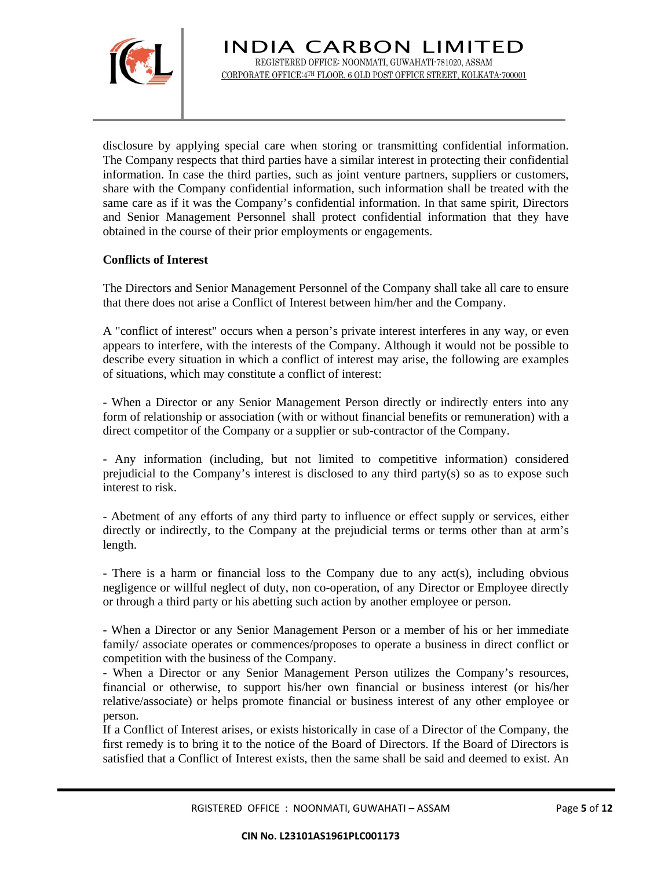

disclosure by applying special care when storing or transmitting confidential information. The Company respects that third parties have a similar interest in protecting their confidential information. In case the third parties, such as joint venture partners, suppliers or customers, share with the Company confidential information, such information shall be treated with the same care as if it was the Company's confidential information. In that same spirit, Directors and Senior Management Personnel shall protect confidential information that they have obtained in the course of their prior employments or engagements.

### **Conflicts of Interest**

The Directors and Senior Management Personnel of the Company shall take all care to ensure that there does not arise a Conflict of Interest between him/her and the Company.

A "conflict of interest" occurs when a person's private interest interferes in any way, or even appears to interfere, with the interests of the Company. Although it would not be possible to describe every situation in which a conflict of interest may arise, the following are examples of situations, which may constitute a conflict of interest:

- When a Director or any Senior Management Person directly or indirectly enters into any form of relationship or association (with or without financial benefits or remuneration) with a direct competitor of the Company or a supplier or sub-contractor of the Company.

- Any information (including, but not limited to competitive information) considered prejudicial to the Company's interest is disclosed to any third party(s) so as to expose such interest to risk.

- Abetment of any efforts of any third party to influence or effect supply or services, either directly or indirectly, to the Company at the prejudicial terms or terms other than at arm's length.

- There is a harm or financial loss to the Company due to any act(s), including obvious negligence or willful neglect of duty, non co-operation, of any Director or Employee directly or through a third party or his abetting such action by another employee or person.

- When a Director or any Senior Management Person or a member of his or her immediate family/ associate operates or commences/proposes to operate a business in direct conflict or competition with the business of the Company.

- When a Director or any Senior Management Person utilizes the Company's resources, financial or otherwise, to support his/her own financial or business interest (or his/her relative/associate) or helps promote financial or business interest of any other employee or person.

If a Conflict of Interest arises, or exists historically in case of a Director of the Company, the first remedy is to bring it to the notice of the Board of Directors. If the Board of Directors is satisfied that a Conflict of Interest exists, then the same shall be said and deemed to exist. An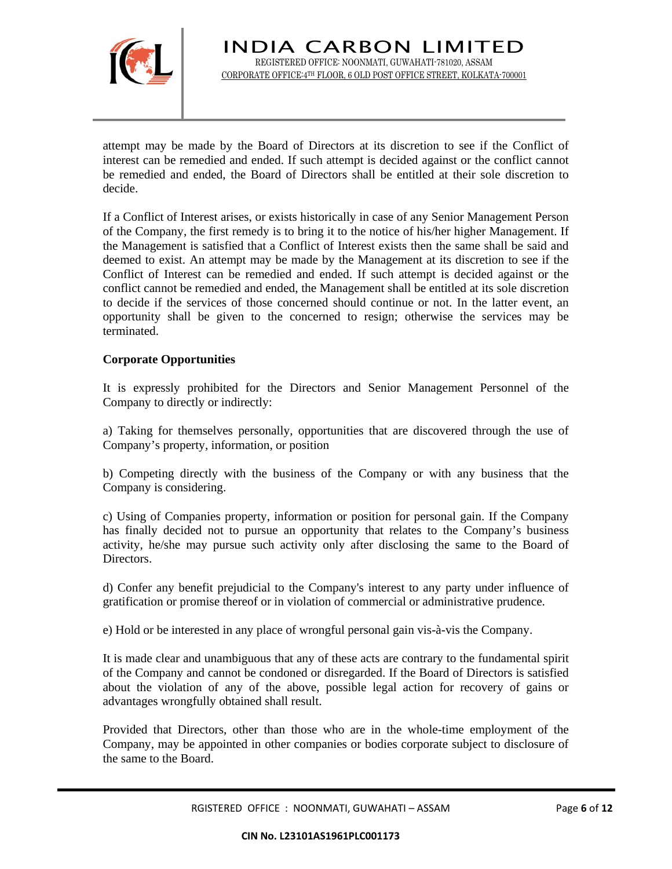

attempt may be made by the Board of Directors at its discretion to see if the Conflict of interest can be remedied and ended. If such attempt is decided against or the conflict cannot be remedied and ended, the Board of Directors shall be entitled at their sole discretion to decide.

If a Conflict of Interest arises, or exists historically in case of any Senior Management Person of the Company, the first remedy is to bring it to the notice of his/her higher Management. If the Management is satisfied that a Conflict of Interest exists then the same shall be said and deemed to exist. An attempt may be made by the Management at its discretion to see if the Conflict of Interest can be remedied and ended. If such attempt is decided against or the conflict cannot be remedied and ended, the Management shall be entitled at its sole discretion to decide if the services of those concerned should continue or not. In the latter event, an opportunity shall be given to the concerned to resign; otherwise the services may be terminated.

## **Corporate Opportunities**

It is expressly prohibited for the Directors and Senior Management Personnel of the Company to directly or indirectly:

a) Taking for themselves personally, opportunities that are discovered through the use of Company's property, information, or position

b) Competing directly with the business of the Company or with any business that the Company is considering.

c) Using of Companies property, information or position for personal gain. If the Company has finally decided not to pursue an opportunity that relates to the Company's business activity, he/she may pursue such activity only after disclosing the same to the Board of Directors.

d) Confer any benefit prejudicial to the Company's interest to any party under influence of gratification or promise thereof or in violation of commercial or administrative prudence.

e) Hold or be interested in any place of wrongful personal gain vis-à-vis the Company.

It is made clear and unambiguous that any of these acts are contrary to the fundamental spirit of the Company and cannot be condoned or disregarded. If the Board of Directors is satisfied about the violation of any of the above, possible legal action for recovery of gains or advantages wrongfully obtained shall result.

Provided that Directors, other than those who are in the whole-time employment of the Company, may be appointed in other companies or bodies corporate subject to disclosure of the same to the Board.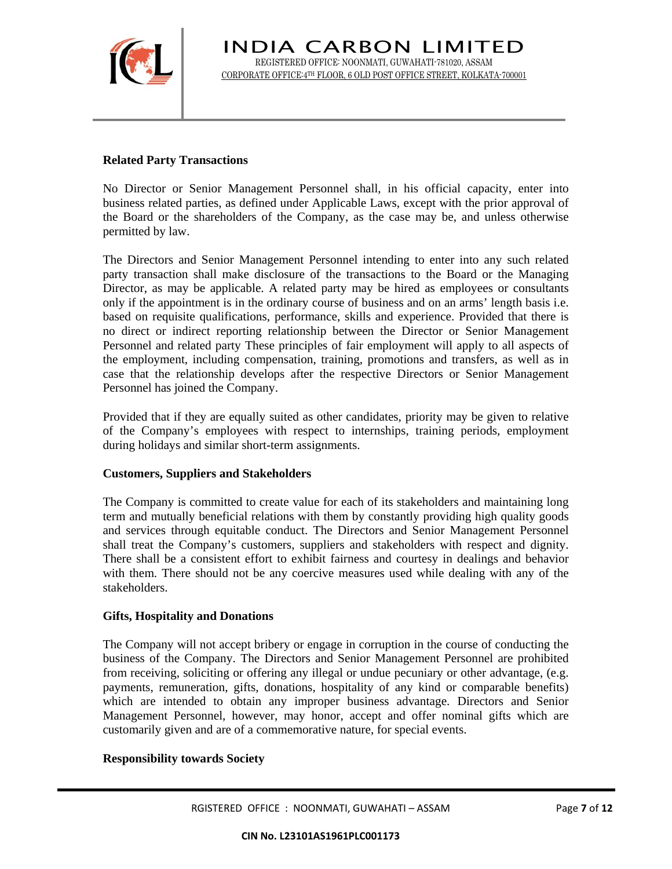

## **Related Party Transactions**

No Director or Senior Management Personnel shall, in his official capacity, enter into business related parties, as defined under Applicable Laws, except with the prior approval of the Board or the shareholders of the Company, as the case may be, and unless otherwise permitted by law.

The Directors and Senior Management Personnel intending to enter into any such related party transaction shall make disclosure of the transactions to the Board or the Managing Director, as may be applicable. A related party may be hired as employees or consultants only if the appointment is in the ordinary course of business and on an arms' length basis i.e. based on requisite qualifications, performance, skills and experience. Provided that there is no direct or indirect reporting relationship between the Director or Senior Management Personnel and related party These principles of fair employment will apply to all aspects of the employment, including compensation, training, promotions and transfers, as well as in case that the relationship develops after the respective Directors or Senior Management Personnel has joined the Company.

Provided that if they are equally suited as other candidates, priority may be given to relative of the Company's employees with respect to internships, training periods, employment during holidays and similar short-term assignments.

### **Customers, Suppliers and Stakeholders**

The Company is committed to create value for each of its stakeholders and maintaining long term and mutually beneficial relations with them by constantly providing high quality goods and services through equitable conduct. The Directors and Senior Management Personnel shall treat the Company's customers, suppliers and stakeholders with respect and dignity. There shall be a consistent effort to exhibit fairness and courtesy in dealings and behavior with them. There should not be any coercive measures used while dealing with any of the stakeholders.

### **Gifts, Hospitality and Donations**

The Company will not accept bribery or engage in corruption in the course of conducting the business of the Company. The Directors and Senior Management Personnel are prohibited from receiving, soliciting or offering any illegal or undue pecuniary or other advantage, (e.g. payments, remuneration, gifts, donations, hospitality of any kind or comparable benefits) which are intended to obtain any improper business advantage. Directors and Senior Management Personnel, however, may honor, accept and offer nominal gifts which are customarily given and are of a commemorative nature, for special events.

#### **Responsibility towards Society**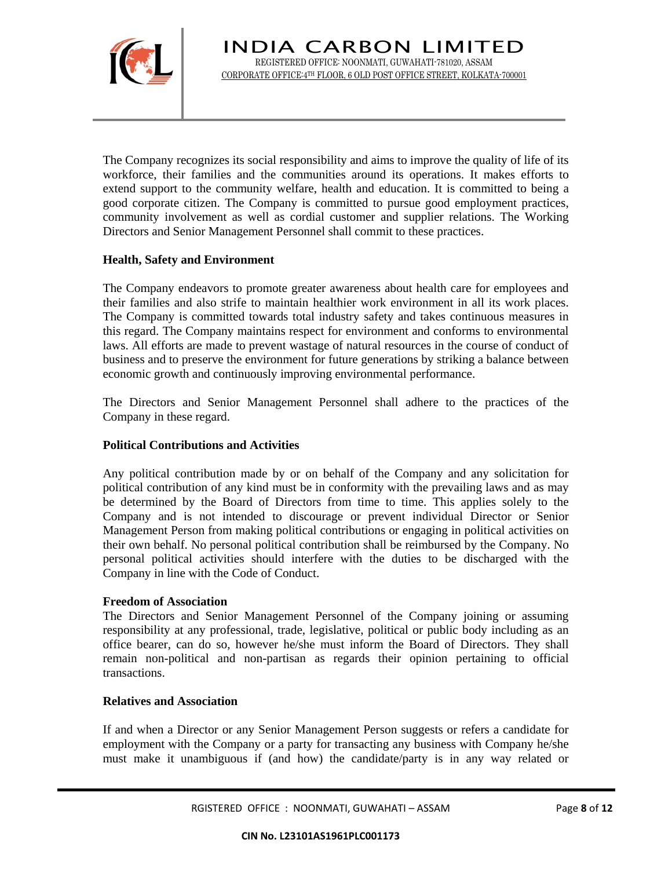

The Company recognizes its social responsibility and aims to improve the quality of life of its workforce, their families and the communities around its operations. It makes efforts to extend support to the community welfare, health and education. It is committed to being a good corporate citizen. The Company is committed to pursue good employment practices, community involvement as well as cordial customer and supplier relations. The Working Directors and Senior Management Personnel shall commit to these practices.

### **Health, Safety and Environment**

The Company endeavors to promote greater awareness about health care for employees and their families and also strife to maintain healthier work environment in all its work places. The Company is committed towards total industry safety and takes continuous measures in this regard. The Company maintains respect for environment and conforms to environmental laws. All efforts are made to prevent wastage of natural resources in the course of conduct of business and to preserve the environment for future generations by striking a balance between economic growth and continuously improving environmental performance.

The Directors and Senior Management Personnel shall adhere to the practices of the Company in these regard.

## **Political Contributions and Activities**

Any political contribution made by or on behalf of the Company and any solicitation for political contribution of any kind must be in conformity with the prevailing laws and as may be determined by the Board of Directors from time to time. This applies solely to the Company and is not intended to discourage or prevent individual Director or Senior Management Person from making political contributions or engaging in political activities on their own behalf. No personal political contribution shall be reimbursed by the Company. No personal political activities should interfere with the duties to be discharged with the Company in line with the Code of Conduct.

### **Freedom of Association**

The Directors and Senior Management Personnel of the Company joining or assuming responsibility at any professional, trade, legislative, political or public body including as an office bearer, can do so, however he/she must inform the Board of Directors. They shall remain non-political and non-partisan as regards their opinion pertaining to official transactions.

### **Relatives and Association**

If and when a Director or any Senior Management Person suggests or refers a candidate for employment with the Company or a party for transacting any business with Company he/she must make it unambiguous if (and how) the candidate/party is in any way related or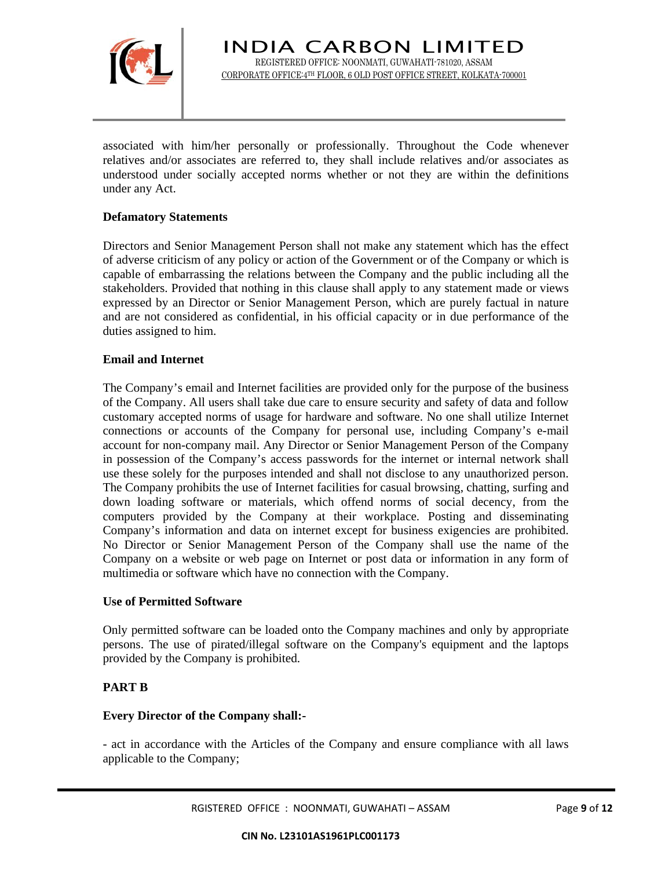

associated with him/her personally or professionally. Throughout the Code whenever relatives and/or associates are referred to, they shall include relatives and/or associates as understood under socially accepted norms whether or not they are within the definitions under any Act.

# **Defamatory Statements**

Directors and Senior Management Person shall not make any statement which has the effect of adverse criticism of any policy or action of the Government or of the Company or which is capable of embarrassing the relations between the Company and the public including all the stakeholders. Provided that nothing in this clause shall apply to any statement made or views expressed by an Director or Senior Management Person, which are purely factual in nature and are not considered as confidential, in his official capacity or in due performance of the duties assigned to him.

## **Email and Internet**

The Company's email and Internet facilities are provided only for the purpose of the business of the Company. All users shall take due care to ensure security and safety of data and follow customary accepted norms of usage for hardware and software. No one shall utilize Internet connections or accounts of the Company for personal use, including Company's e-mail account for non-company mail. Any Director or Senior Management Person of the Company in possession of the Company's access passwords for the internet or internal network shall use these solely for the purposes intended and shall not disclose to any unauthorized person. The Company prohibits the use of Internet facilities for casual browsing, chatting, surfing and down loading software or materials, which offend norms of social decency, from the computers provided by the Company at their workplace. Posting and disseminating Company's information and data on internet except for business exigencies are prohibited. No Director or Senior Management Person of the Company shall use the name of the Company on a website or web page on Internet or post data or information in any form of multimedia or software which have no connection with the Company.

### **Use of Permitted Software**

Only permitted software can be loaded onto the Company machines and only by appropriate persons. The use of pirated/illegal software on the Company's equipment and the laptops provided by the Company is prohibited.

# **PART B**

# **Every Director of the Company shall:-**

- act in accordance with the Articles of the Company and ensure compliance with all laws applicable to the Company;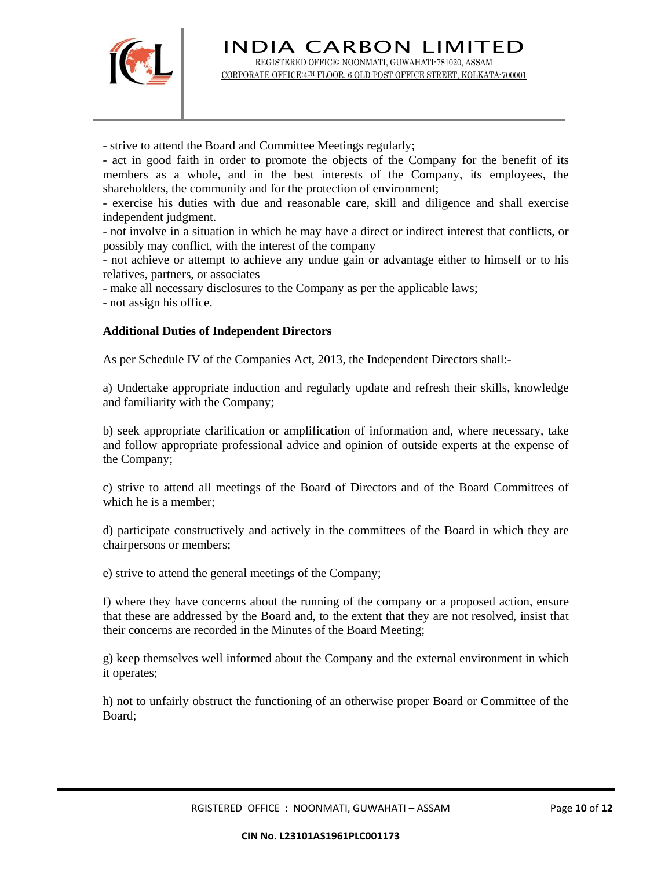

- strive to attend the Board and Committee Meetings regularly;

- act in good faith in order to promote the objects of the Company for the benefit of its members as a whole, and in the best interests of the Company, its employees, the shareholders, the community and for the protection of environment;

- exercise his duties with due and reasonable care, skill and diligence and shall exercise independent judgment.

- not involve in a situation in which he may have a direct or indirect interest that conflicts, or possibly may conflict, with the interest of the company

- not achieve or attempt to achieve any undue gain or advantage either to himself or to his relatives, partners, or associates

- make all necessary disclosures to the Company as per the applicable laws;

- not assign his office.

#### **Additional Duties of Independent Directors**

As per Schedule IV of the Companies Act, 2013, the Independent Directors shall:-

a) Undertake appropriate induction and regularly update and refresh their skills, knowledge and familiarity with the Company;

b) seek appropriate clarification or amplification of information and, where necessary, take and follow appropriate professional advice and opinion of outside experts at the expense of the Company;

c) strive to attend all meetings of the Board of Directors and of the Board Committees of which he is a member;

d) participate constructively and actively in the committees of the Board in which they are chairpersons or members;

e) strive to attend the general meetings of the Company;

f) where they have concerns about the running of the company or a proposed action, ensure that these are addressed by the Board and, to the extent that they are not resolved, insist that their concerns are recorded in the Minutes of the Board Meeting;

g) keep themselves well informed about the Company and the external environment in which it operates;

h) not to unfairly obstruct the functioning of an otherwise proper Board or Committee of the Board;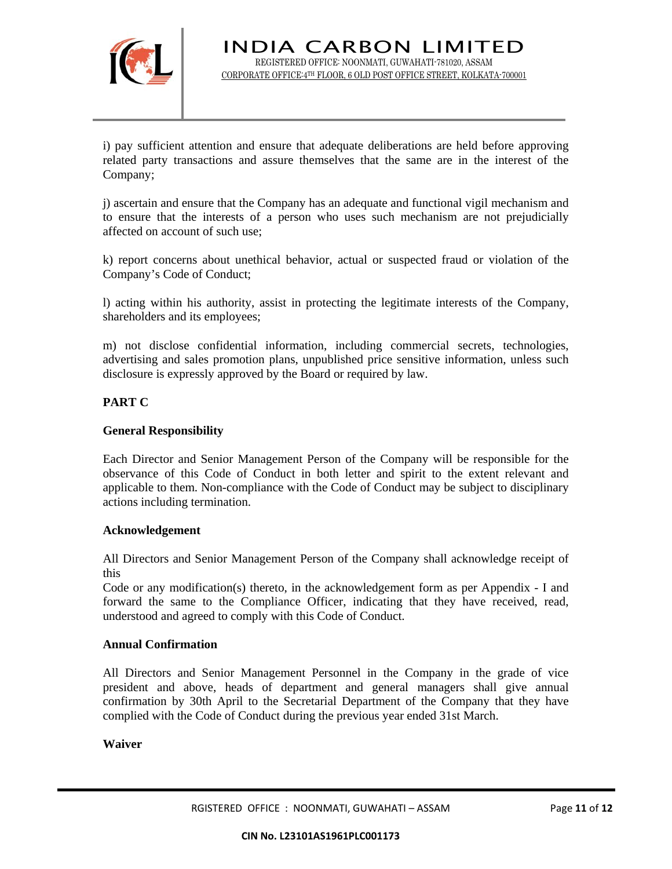

i) pay sufficient attention and ensure that adequate deliberations are held before approving related party transactions and assure themselves that the same are in the interest of the Company;

j) ascertain and ensure that the Company has an adequate and functional vigil mechanism and to ensure that the interests of a person who uses such mechanism are not prejudicially affected on account of such use;

k) report concerns about unethical behavior, actual or suspected fraud or violation of the Company's Code of Conduct;

l) acting within his authority, assist in protecting the legitimate interests of the Company, shareholders and its employees;

m) not disclose confidential information, including commercial secrets, technologies, advertising and sales promotion plans, unpublished price sensitive information, unless such disclosure is expressly approved by the Board or required by law.

### **PART C**

#### **General Responsibility**

Each Director and Senior Management Person of the Company will be responsible for the observance of this Code of Conduct in both letter and spirit to the extent relevant and applicable to them. Non-compliance with the Code of Conduct may be subject to disciplinary actions including termination.

### **Acknowledgement**

All Directors and Senior Management Person of the Company shall acknowledge receipt of this

Code or any modification(s) thereto, in the acknowledgement form as per Appendix - I and forward the same to the Compliance Officer, indicating that they have received, read, understood and agreed to comply with this Code of Conduct.

#### **Annual Confirmation**

All Directors and Senior Management Personnel in the Company in the grade of vice president and above, heads of department and general managers shall give annual confirmation by 30th April to the Secretarial Department of the Company that they have complied with the Code of Conduct during the previous year ended 31st March.

### **Waiver**